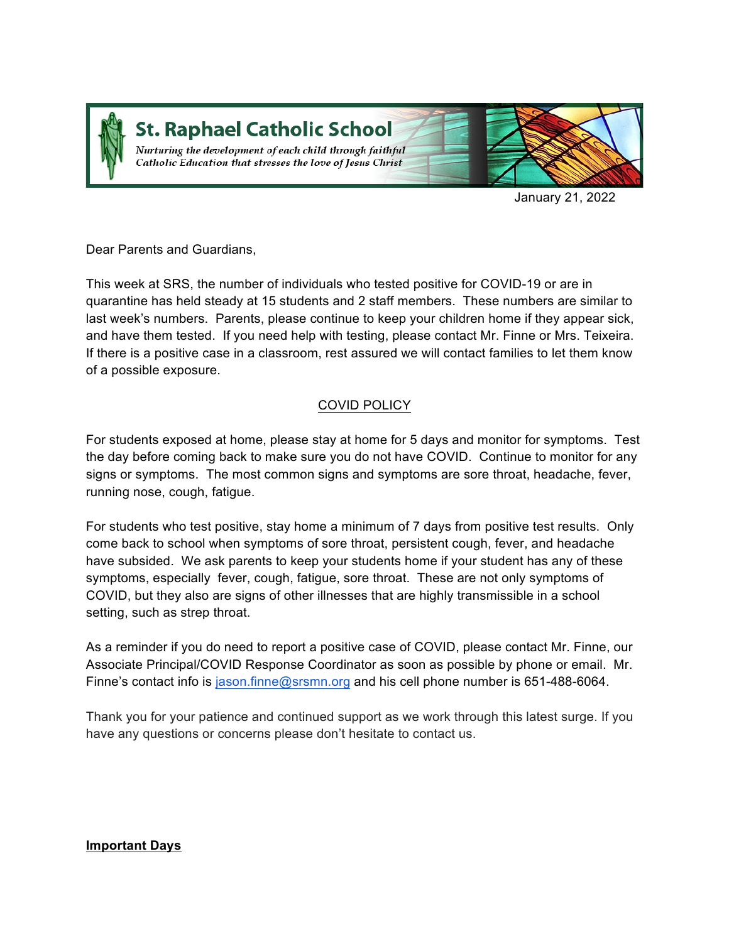

**St. Raphael Catholic School** 

Nurturing the development of each child through faithful Catholic Education that stresses the love of Jesus Christ



January 21, 2022

Dear Parents and Guardians,

This week at SRS, the number of individuals who tested positive for COVID-19 or are in quarantine has held steady at 15 students and 2 staff members. These numbers are similar to last week's numbers. Parents, please continue to keep your children home if they appear sick, and have them tested. If you need help with testing, please contact Mr. Finne or Mrs. Teixeira. If there is a positive case in a classroom, rest assured we will contact families to let them know of a possible exposure.

### COVID POLICY

For students exposed at home, please stay at home for 5 days and monitor for symptoms. Test the day before coming back to make sure you do not have COVID. Continue to monitor for any signs or symptoms. The most common signs and symptoms are sore throat, headache, fever, running nose, cough, fatigue.

For students who test positive, stay home a minimum of 7 days from positive test results. Only come back to school when symptoms of sore throat, persistent cough, fever, and headache have subsided. We ask parents to keep your students home if your student has any of these symptoms, especially fever, cough, fatigue, sore throat. These are not only symptoms of COVID, but they also are signs of other illnesses that are highly transmissible in a school setting, such as strep throat.

As a reminder if you do need to report a positive case of COVID, please contact Mr. Finne, our Associate Principal/COVID Response Coordinator as soon as possible by phone or email. Mr. Finne's contact info is jason.finne@srsmn.org and his cell phone number is 651-488-6064.

Thank you for your patience and continued support as we work through this latest surge. If you have any questions or concerns please don't hesitate to contact us.

### **Important Days**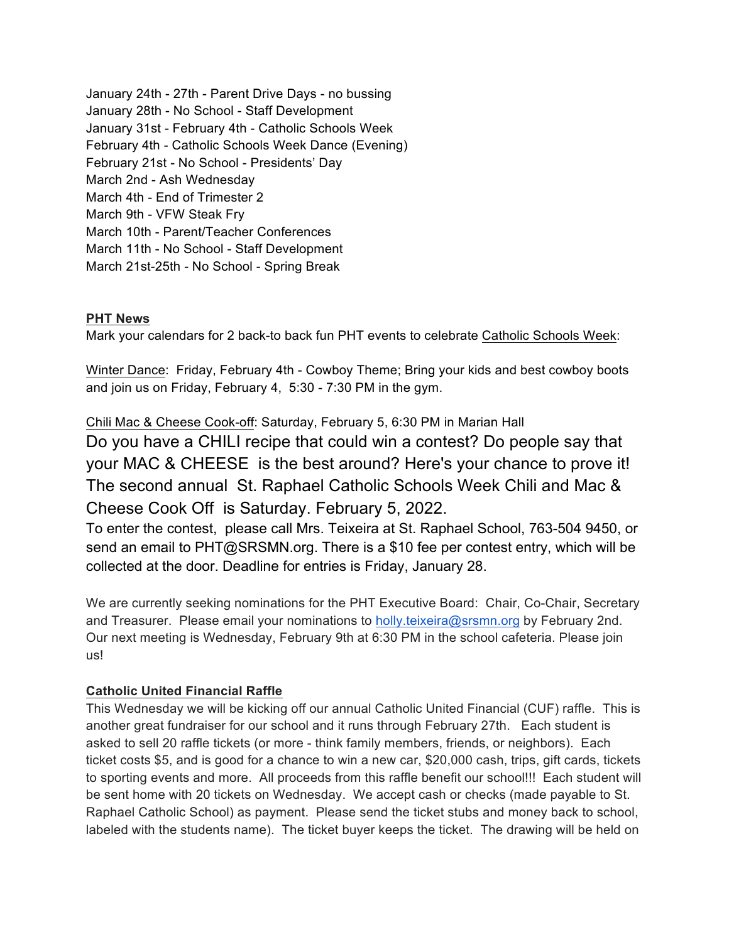January 24th - 27th - Parent Drive Days - no bussing January 28th - No School - Staff Development January 31st - February 4th - Catholic Schools Week February 4th - Catholic Schools Week Dance (Evening) February 21st - No School - Presidents' Day March 2nd - Ash Wednesday March 4th - End of Trimester 2 March 9th - VFW Steak Fry March 10th - Parent/Teacher Conferences March 11th - No School - Staff Development March 21st-25th - No School - Spring Break

### **PHT News**

Mark your calendars for 2 back-to back fun PHT events to celebrate Catholic Schools Week:

Winter Dance: Friday, February 4th - Cowboy Theme; Bring your kids and best cowboy boots and join us on Friday, February 4, 5:30 - 7:30 PM in the gym.

Chili Mac & Cheese Cook-off: Saturday, February 5, 6:30 PM in Marian Hall Do you have a CHILI recipe that could win a contest? Do people say that your MAC & CHEESE is the best around? Here's your chance to prove it! The second annual St. Raphael Catholic Schools Week Chili and Mac & Cheese Cook Off is Saturday. February 5, 2022.

To enter the contest, please call Mrs. Teixeira at St. Raphael School, 763-504 9450, or send an email to PHT@SRSMN.org. There is a \$10 fee per contest entry, which will be collected at the door. Deadline for entries is Friday, January 28.

We are currently seeking nominations for the PHT Executive Board: Chair, Co-Chair, Secretary and Treasurer. Please email your nominations to holly.teixeira@srsmn.org by February 2nd. Our next meeting is Wednesday, February 9th at 6:30 PM in the school cafeteria. Please join us!

### **Catholic United Financial Raffle**

This Wednesday we will be kicking off our annual Catholic United Financial (CUF) raffle. This is another great fundraiser for our school and it runs through February 27th. Each student is asked to sell 20 raffle tickets (or more - think family members, friends, or neighbors). Each ticket costs \$5, and is good for a chance to win a new car, \$20,000 cash, trips, gift cards, tickets to sporting events and more. All proceeds from this raffle benefit our school!!! Each student will be sent home with 20 tickets on Wednesday. We accept cash or checks (made payable to St. Raphael Catholic School) as payment. Please send the ticket stubs and money back to school, labeled with the students name). The ticket buyer keeps the ticket. The drawing will be held on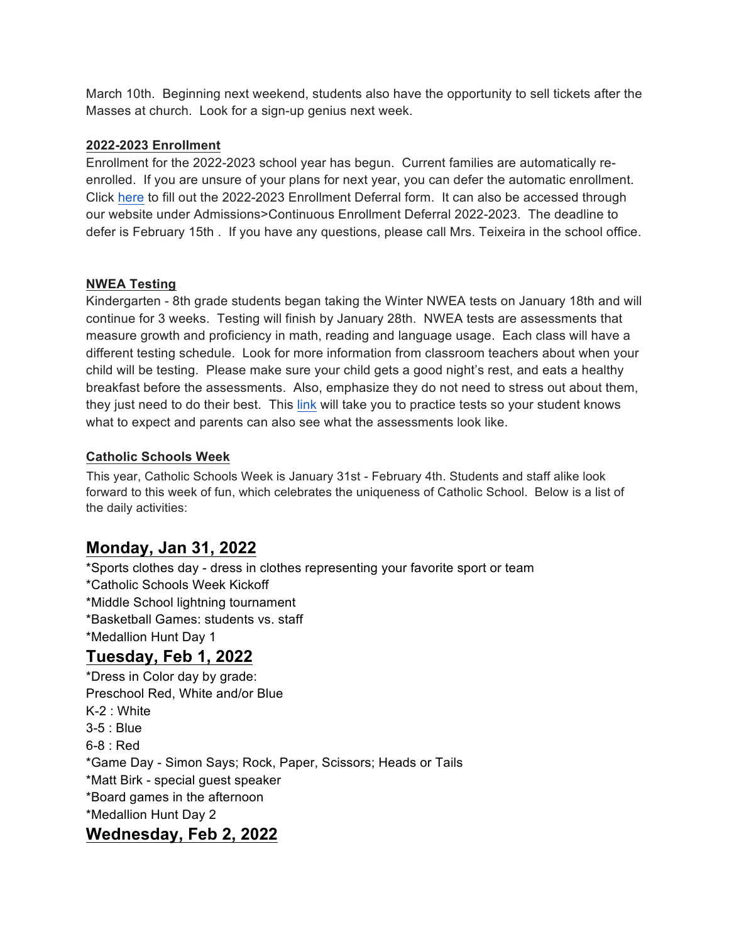March 10th. Beginning next weekend, students also have the opportunity to sell tickets after the Masses at church. Look for a sign-up genius next week.

### **2022-2023 Enrollment**

Enrollment for the 2022-2023 school year has begun. Current families are automatically reenrolled. If you are unsure of your plans for next year, you can defer the automatic enrollment. Click here to fill out the 2022-2023 Enrollment Deferral form. It can also be accessed through our website under Admissions>Continuous Enrollment Deferral 2022-2023. The deadline to defer is February 15th . If you have any questions, please call Mrs. Teixeira in the school office.

#### **NWEA Testing**

Kindergarten - 8th grade students began taking the Winter NWEA tests on January 18th and will continue for 3 weeks. Testing will finish by January 28th. NWEA tests are assessments that measure growth and proficiency in math, reading and language usage. Each class will have a different testing schedule. Look for more information from classroom teachers about when your child will be testing. Please make sure your child gets a good night's rest, and eats a healthy breakfast before the assessments. Also, emphasize they do not need to stress out about them, they just need to do their best. This link will take you to practice tests so your student knows what to expect and parents can also see what the assessments look like.

#### **Catholic Schools Week**

This year, Catholic Schools Week is January 31st - February 4th. Students and staff alike look forward to this week of fun, which celebrates the uniqueness of Catholic School. Below is a list of the daily activities:

## **Monday, Jan 31, 2022**

\*Sports clothes day - dress in clothes representing your favorite sport or team \*Catholic Schools Week Kickoff \*Middle School lightning tournament \*Basketball Games: students vs. staff \*Medallion Hunt Day 1 **Tuesday, Feb 1, 2022** \*Dress in Color day by grade: Preschool Red, White and/or Blue K-2 : White 3-5 : Blue

6-8 : Red \*Game Day - Simon Says; Rock, Paper, Scissors; Heads or Tails \*Matt Birk - special guest speaker \*Board games in the afternoon

\*Medallion Hunt Day 2

## **Wednesday, Feb 2, 2022**